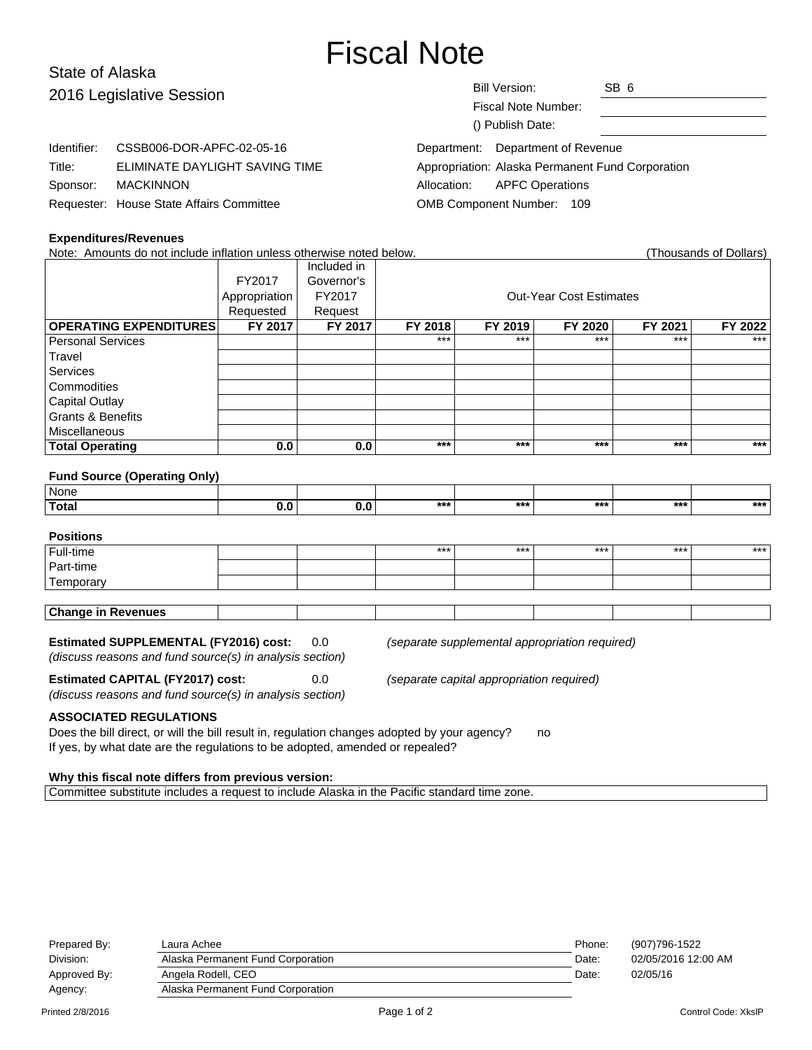# Fiscal Note

# State of Alaska 2016 Legislative Session

Identifier: CSSB006-DOR-APFC-02-05-16

Requester: House State Affairs Committee

Title: ELIMINATE DAYLIGHT SAVING TIME

| <b>Bill Version:</b> | SB 6 |  |
|----------------------|------|--|
|                      |      |  |

Fiscal Note Number: () Publish Date:

Department: Department of Revenue Appropriation: Alaska Permanent Fund Corporation Allocation: APFC Operations OMB Component Number: 109

# **Expenditures/Revenues**

Sponsor: MACKINNON

Note: Amounts do not include inflation unless otherwise noted below. Thousands of Dollars (Thousands of Dollars)

|                               |               | Included in |         |         |                                |         |         |
|-------------------------------|---------------|-------------|---------|---------|--------------------------------|---------|---------|
|                               | FY2017        | Governor's  |         |         |                                |         |         |
|                               | Appropriation | FY2017      |         |         | <b>Out-Year Cost Estimates</b> |         |         |
|                               | Requested     | Request     |         |         |                                |         |         |
| <b>OPERATING EXPENDITURES</b> | FY 2017       | FY 2017     | FY 2018 | FY 2019 | FY 2020                        | FY 2021 | FY 2022 |
| Personal Services             |               |             | $***$   | $***$   | $***$                          | $***$   | $***$   |
| Travel                        |               |             |         |         |                                |         |         |
| <b>Services</b>               |               |             |         |         |                                |         |         |
| Commodities                   |               |             |         |         |                                |         |         |
| Capital Outlay                |               |             |         |         |                                |         |         |
| Grants & Benefits             |               |             |         |         |                                |         |         |
| Miscellaneous                 |               |             |         |         |                                |         |         |
| <b>Total Operating</b>        | 0.0           | 0.0         | $***$   | $***$   | $***$                          | ***     | $***$   |

#### **Fund Source (Operating Only)**

| None  |     |              |     |     |       |     |     |
|-------|-----|--------------|-----|-----|-------|-----|-----|
| Total | v.u | . . <b>.</b> | *** | *** | $***$ | *** | *** |

# **Positions**

| Full-time                 |  | $***$ | *** | *** | *** | $***$ |
|---------------------------|--|-------|-----|-----|-----|-------|
| Part-time                 |  |       |     |     |     |       |
| Temporary                 |  |       |     |     |     |       |
|                           |  |       |     |     |     |       |
| <b>Change in Revenues</b> |  |       |     |     |     |       |

#### **Estimated SUPPLEMENTAL (FY2016) cost:** 0.0 (separate supplemental appropriation required)

(discuss reasons and fund source(s) in analysis section)

(discuss reasons and fund source(s) in analysis section)

**Estimated CAPITAL (FY2017) cost:** 0.0 (separate capital appropriation required)

**ASSOCIATED REGULATIONS**

Does the bill direct, or will the bill result in, regulation changes adopted by your agency? no If yes, by what date are the regulations to be adopted, amended or repealed?

#### **Why this fiscal note differs from previous version:**

Committee substitute includes a request to include Alaska in the Pacific standard time zone.

| Prepared By:     | Laura Achee                       | Phone: | (907)796-1522       |
|------------------|-----------------------------------|--------|---------------------|
| Division:        | Alaska Permanent Fund Corporation | Date:  | 02/05/2016 12:00 AM |
| Approved By:     | Angela Rodell, CEO                | Date:  | 02/05/16            |
| Agency:          | Alaska Permanent Fund Corporation |        |                     |
| Printed 2/8/2016 | Page 1 of 2                       |        | Control Code: XkslP |